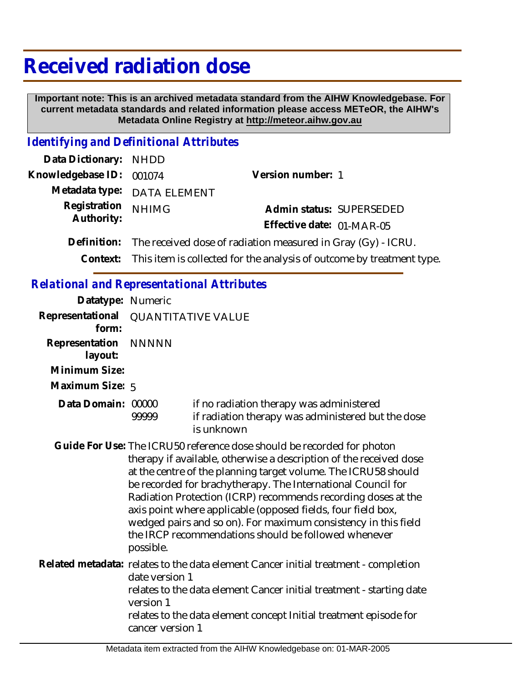## **Received radiation dose**

 **Important note: This is an archived metadata standard from the AIHW Knowledgebase. For current metadata standards and related information please access METeOR, the AIHW's Metadata Online Registry at http://meteor.aihw.gov.au**

## *Identifying and Definitional Attributes*

| Data Dictionary: NHDD |                                                                                |                           |  |
|-----------------------|--------------------------------------------------------------------------------|---------------------------|--|
| Knowledgebase ID:     | 001074                                                                         | Version number: 1         |  |
|                       | Metadata type: DATA ELEMENT                                                    |                           |  |
| Registration          | <b>NHIMG</b>                                                                   | Admin status: SUPERSEDED  |  |
| Authority:            |                                                                                | Effective date: 01-MAR-05 |  |
| Definition:           | The received dose of radiation measured in Gray (Gy) - ICRU.                   |                           |  |
|                       | Context: This item is collected for the analysis of outcome by treatment type. |                           |  |
|                       |                                                                                |                           |  |

## *Relational and Representational Attributes*

| Datatype: Numeric         |                                                                                                                                                                                                                                                                                                                                                                                                                                                                                                                                                        |                                                                                                                                                                                                                                  |  |
|---------------------------|--------------------------------------------------------------------------------------------------------------------------------------------------------------------------------------------------------------------------------------------------------------------------------------------------------------------------------------------------------------------------------------------------------------------------------------------------------------------------------------------------------------------------------------------------------|----------------------------------------------------------------------------------------------------------------------------------------------------------------------------------------------------------------------------------|--|
| form:                     | Representational QUANTITATIVE VALUE                                                                                                                                                                                                                                                                                                                                                                                                                                                                                                                    |                                                                                                                                                                                                                                  |  |
| Representation<br>layout: | <b>NNNNN</b>                                                                                                                                                                                                                                                                                                                                                                                                                                                                                                                                           |                                                                                                                                                                                                                                  |  |
| Minimum Size:             |                                                                                                                                                                                                                                                                                                                                                                                                                                                                                                                                                        |                                                                                                                                                                                                                                  |  |
| Maximum Size: 5           |                                                                                                                                                                                                                                                                                                                                                                                                                                                                                                                                                        |                                                                                                                                                                                                                                  |  |
| Data Domain: 00000        | 99999                                                                                                                                                                                                                                                                                                                                                                                                                                                                                                                                                  | if no radiation therapy was administered<br>if radiation therapy was administered but the dose<br>is unknown                                                                                                                     |  |
|                           | Guide For Use: The ICRU50 reference dose should be recorded for photon<br>therapy if available, otherwise a description of the received dose<br>at the centre of the planning target volume. The ICRU58 should<br>be recorded for brachytherapy. The International Council for<br>Radiation Protection (ICRP) recommends recording doses at the<br>axis point where applicable (opposed fields, four field box,<br>wedged pairs and so on). For maximum consistency in this field<br>the IRCP recommendations should be followed whenever<br>possible. |                                                                                                                                                                                                                                  |  |
|                           | date version 1<br>version 1<br>cancer version 1                                                                                                                                                                                                                                                                                                                                                                                                                                                                                                        | Related metadata: relates to the data element Cancer initial treatment - completion<br>relates to the data element Cancer initial treatment - starting date<br>relates to the data element concept Initial treatment episode for |  |